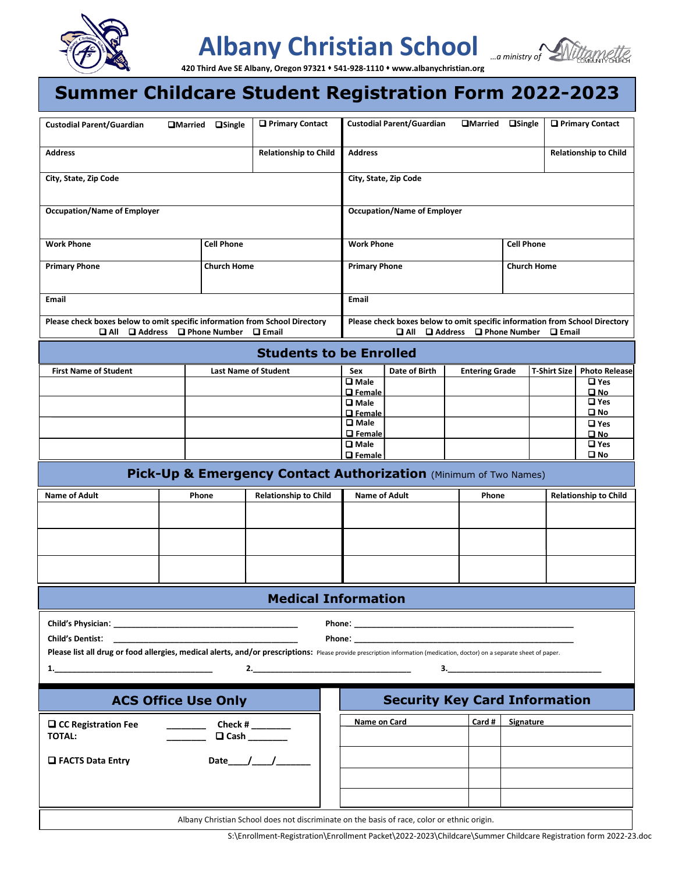

## **Albany Christian School**



**420 Third Ave SE Albany, Oregon 97321** ⬧ **541-928-1110** ⬧ **www.albanychristian.org**

#### 321 • 541-928-<br>**FDad Summer Childcare Student Registration Form 2022-2023**

| <b>Custodial Parent/Guardian</b>                                                                                                                                         | <b>QMarried</b><br><b>a</b> Single                                                                                                | <b>Q</b> Primary Contact       |                                    | <b>Custodial Parent/Guardian</b>                                                                                                                                                                                                    | <b>OMarried</b>                                                                                                                            | $\Box$ Single                | $\Box$ Primary Contact                      |  |  |  |
|--------------------------------------------------------------------------------------------------------------------------------------------------------------------------|-----------------------------------------------------------------------------------------------------------------------------------|--------------------------------|------------------------------------|-------------------------------------------------------------------------------------------------------------------------------------------------------------------------------------------------------------------------------------|--------------------------------------------------------------------------------------------------------------------------------------------|------------------------------|---------------------------------------------|--|--|--|
| <b>Address</b>                                                                                                                                                           | <b>Relationship to Child</b>                                                                                                      | <b>Address</b>                 |                                    |                                                                                                                                                                                                                                     |                                                                                                                                            | <b>Relationship to Child</b> |                                             |  |  |  |
| City, State, Zip Code                                                                                                                                                    |                                                                                                                                   |                                | City, State, Zip Code              |                                                                                                                                                                                                                                     |                                                                                                                                            |                              |                                             |  |  |  |
| <b>Occupation/Name of Employer</b>                                                                                                                                       |                                                                                                                                   |                                | <b>Occupation/Name of Employer</b> |                                                                                                                                                                                                                                     |                                                                                                                                            |                              |                                             |  |  |  |
| <b>Work Phone</b>                                                                                                                                                        | <b>Cell Phone</b>                                                                                                                 |                                |                                    | <b>Cell Phone</b><br><b>Work Phone</b>                                                                                                                                                                                              |                                                                                                                                            |                              |                                             |  |  |  |
| <b>Primary Phone</b>                                                                                                                                                     | <b>Church Home</b>                                                                                                                |                                |                                    | <b>Primary Phone</b><br><b>Church Home</b>                                                                                                                                                                                          |                                                                                                                                            |                              |                                             |  |  |  |
| Email                                                                                                                                                                    |                                                                                                                                   |                                | Email                              |                                                                                                                                                                                                                                     |                                                                                                                                            |                              |                                             |  |  |  |
| OI AII                                                                                                                                                                   | Please check boxes below to omit specific information from School Directory<br>$\Box$ Address $\Box$ Phone Number<br>$\Box$ Email |                                |                                    |                                                                                                                                                                                                                                     | Please check boxes below to omit specific information from School Directory<br>a all<br>$\Box$ Address $\Box$ Phone Number<br>$\Box$ Email |                              |                                             |  |  |  |
|                                                                                                                                                                          |                                                                                                                                   | <b>Students to be Enrolled</b> |                                    |                                                                                                                                                                                                                                     |                                                                                                                                            |                              |                                             |  |  |  |
| <b>First Name of Student</b>                                                                                                                                             |                                                                                                                                   | <b>Last Name of Student</b>    | Sex                                | Date of Birth                                                                                                                                                                                                                       | <b>Entering Grade</b>                                                                                                                      |                              | <b>T-Shirt Size</b><br><b>Photo Release</b> |  |  |  |
|                                                                                                                                                                          |                                                                                                                                   |                                | $\overline{\square}$ Male          |                                                                                                                                                                                                                                     |                                                                                                                                            |                              | $\Box$ Yes                                  |  |  |  |
|                                                                                                                                                                          |                                                                                                                                   |                                | <b>Q</b> Female                    |                                                                                                                                                                                                                                     |                                                                                                                                            |                              | $\square$ No                                |  |  |  |
|                                                                                                                                                                          |                                                                                                                                   |                                | <b>Q</b> Male                      |                                                                                                                                                                                                                                     |                                                                                                                                            |                              | $\Box$ Yes                                  |  |  |  |
|                                                                                                                                                                          |                                                                                                                                   |                                | <b>Q</b> Female                    |                                                                                                                                                                                                                                     |                                                                                                                                            |                              | $\square$ No                                |  |  |  |
|                                                                                                                                                                          |                                                                                                                                   |                                | $\Box$ Male                        |                                                                                                                                                                                                                                     |                                                                                                                                            |                              | $\Box$ Yes                                  |  |  |  |
|                                                                                                                                                                          |                                                                                                                                   |                                | <b>Q</b> Female                    |                                                                                                                                                                                                                                     |                                                                                                                                            |                              | $\square$ No                                |  |  |  |
|                                                                                                                                                                          |                                                                                                                                   |                                | $\square$ Male<br>$\Box$ Female    |                                                                                                                                                                                                                                     |                                                                                                                                            |                              | $\Box$ Yes<br>$\square$ No                  |  |  |  |
|                                                                                                                                                                          | Pick-Up & Emergency Contact Authorization (Minimum of Two Names)                                                                  |                                |                                    |                                                                                                                                                                                                                                     |                                                                                                                                            |                              |                                             |  |  |  |
| <b>Name of Adult</b>                                                                                                                                                     | Phone                                                                                                                             | <b>Relationship to Child</b>   | <b>Name of Adult</b><br>Phone      |                                                                                                                                                                                                                                     |                                                                                                                                            |                              | <b>Relationship to Child</b>                |  |  |  |
|                                                                                                                                                                          |                                                                                                                                   |                                |                                    |                                                                                                                                                                                                                                     |                                                                                                                                            |                              |                                             |  |  |  |
|                                                                                                                                                                          |                                                                                                                                   |                                |                                    |                                                                                                                                                                                                                                     |                                                                                                                                            |                              |                                             |  |  |  |
|                                                                                                                                                                          |                                                                                                                                   |                                |                                    |                                                                                                                                                                                                                                     |                                                                                                                                            |                              |                                             |  |  |  |
|                                                                                                                                                                          |                                                                                                                                   | <b>Medical Information</b>     |                                    |                                                                                                                                                                                                                                     |                                                                                                                                            |                              |                                             |  |  |  |
|                                                                                                                                                                          |                                                                                                                                   |                                |                                    |                                                                                                                                                                                                                                     |                                                                                                                                            |                              |                                             |  |  |  |
| <b>Child's Dentist:</b>                                                                                                                                                  |                                                                                                                                   |                                |                                    | <b>Phone:</b> The contract of the contract of the contract of the contract of the contract of the contract of the contract of the contract of the contract of the contract of the contract of the contract of the contract of the c |                                                                                                                                            |                              |                                             |  |  |  |
| Please list all drug or food allergies, medical alerts, and/or prescriptions: Please provide prescription information (medication, doctor) on a separate sheet of paper. |                                                                                                                                   |                                |                                    |                                                                                                                                                                                                                                     |                                                                                                                                            |                              |                                             |  |  |  |
|                                                                                                                                                                          |                                                                                                                                   |                                |                                    |                                                                                                                                                                                                                                     |                                                                                                                                            |                              |                                             |  |  |  |
| $\mathbf{1}$ .                                                                                                                                                           |                                                                                                                                   | 2.                             |                                    |                                                                                                                                                                                                                                     | $\mathbf{3.}$                                                                                                                              |                              |                                             |  |  |  |
|                                                                                                                                                                          | <b>ACS Office Use Only</b>                                                                                                        |                                |                                    | <b>Security Key Card Information</b>                                                                                                                                                                                                |                                                                                                                                            |                              |                                             |  |  |  |
|                                                                                                                                                                          |                                                                                                                                   |                                | Name on Card                       |                                                                                                                                                                                                                                     | Card #                                                                                                                                     | Signature                    |                                             |  |  |  |
|                                                                                                                                                                          |                                                                                                                                   |                                |                                    |                                                                                                                                                                                                                                     |                                                                                                                                            |                              |                                             |  |  |  |
| □ CC Registration Fee<br><b>TOTAL:</b>                                                                                                                                   |                                                                                                                                   | Check # $\_\_$<br>$\Box$ Cash  |                                    |                                                                                                                                                                                                                                     |                                                                                                                                            |                              |                                             |  |  |  |
|                                                                                                                                                                          |                                                                                                                                   |                                |                                    |                                                                                                                                                                                                                                     |                                                                                                                                            |                              |                                             |  |  |  |
| <b>Q</b> FACTS Data Entry                                                                                                                                                |                                                                                                                                   | Date $/$ $/$                   |                                    |                                                                                                                                                                                                                                     |                                                                                                                                            |                              |                                             |  |  |  |
|                                                                                                                                                                          |                                                                                                                                   |                                |                                    |                                                                                                                                                                                                                                     |                                                                                                                                            |                              |                                             |  |  |  |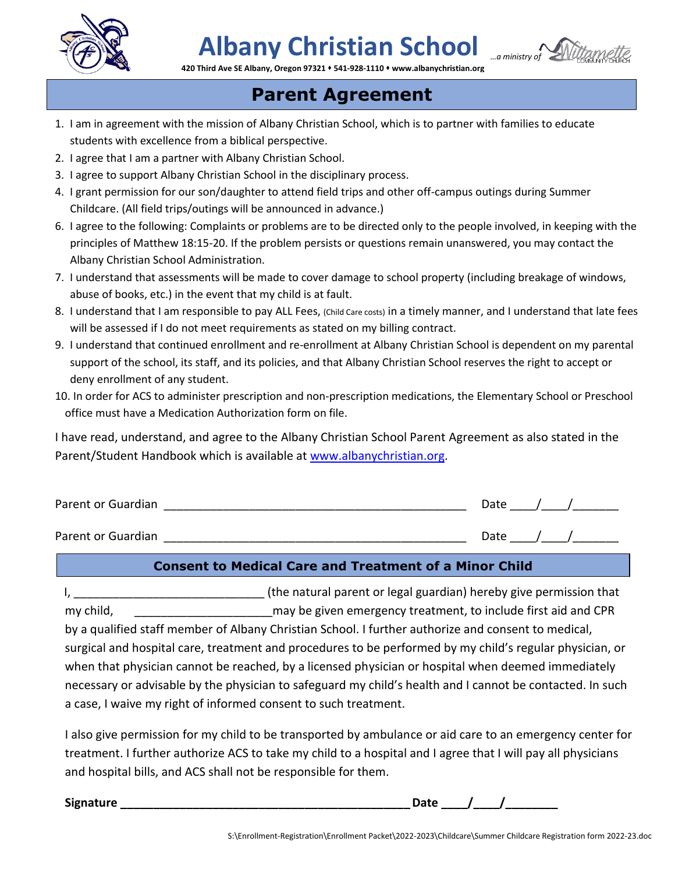

# **Albany Christian School**



**420 Third Ave SE Albany, Oregon 97321** ⬧ **541-928-1110** ⬧ **www.albanychristian.org**

### 321 **\*** 541-928-<br>**CCCCCC**<br>**cccc Parent Agreement**

- **ALBAN POLITICITY**<br>1. I am in agreement with the mission of Albany Christian School, which is to partner with families to educate students with excellence from a biblical perspective.
- 2. I agree that I am a partner with Albany Christian School.
- 3. I agree to support Albany Christian School in the disciplinary process.
- 4. I grant permission for our son/daughter to attend field trips and other off-campus outings during Summer Childcare. (All field trips/outings will be announced in advance.)
- 6. I agree to the following: Complaints or problems are to be directed only to the people involved, in keeping with the principles of Matthew 18:15-20. If the problem persists or questions remain unanswered, you may contact the Albany Christian School Administration.
- 7. I understand that assessments will be made to cover damage to school property (including breakage of windows, abuse of books, etc.) in the event that my child is at fault.
- 8. I understand that I am responsible to pay ALL Fees, (Child Care costs) in a timely manner, and I understand that late fees will be assessed if I do not meet requirements as stated on my billing contract.
- 9. I understand that continued enrollment and re-enrollment at Albany Christian School is dependent on my parental support of the school, its staff, and its policies, and that Albany Christian School reserves the right to accept or deny enrollment of any student.
- 10. In order for ACS to administer prescription and non-prescription medications, the Elementary School or Preschool office must have a Medication Authorization form on file.

I have read, understand, and agree to the Albany Christian School Parent Agreement as also stated in the Parent/Student Handbook which is available at [www.albanychristian.org.](http://www.albanychristian.org/)

| Parent or Guardian | Date |  |  |
|--------------------|------|--|--|
| Parent or Guardian | Date |  |  |

#### **Consent to Medical Care and Treatment of a Minor Child**

I, the natural parent or legal guardian) hereby give permission that my child, the contraction of the given emergency treatment, to include first aid and CPR by a qualified staff member of Albany Christian School. I further authorize and consent to medical, surgical and hospital care, treatment and procedures to be performed by my child's regular physician, or when that physician cannot be reached, by a licensed physician or hospital when deemed immediately necessary or advisable by the physician to safeguard my child's health and I cannot be contacted. In such a case, I waive my right of informed consent to such treatment.

I also give permission for my child to be transported by ambulance or aid care to an emergency center for treatment. I further authorize ACS to take my child to a hospital and I agree that I will pay all physicians and hospital bills, and ACS shall not be responsible for them.

| <b>Signature</b> |  |
|------------------|--|
|                  |  |

Date /